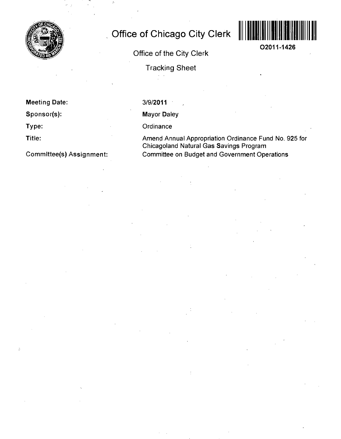

# **Office of Chicago City Clerk**

**Office of the City Clerk** 



**02011-1426** 

**Tracking Sheet** 

**Meeting Date:** 

**Sponsor(s):** 

**Type:** 

**Title:** 

**Commlttee(s) Assignment:** 

3/9/2011

Mayor Daley

**Ordinance** 

Amend Annual Appropriation Ordinance Fund No. 925 for Chicagoland Natural Gas Savings Program Committee on Budget and Government Operations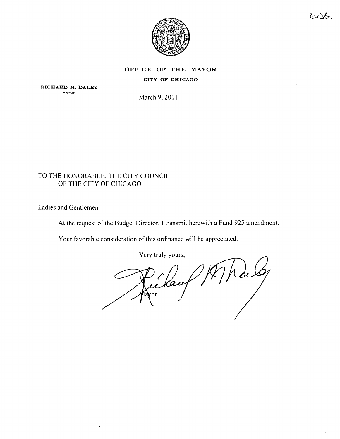

 $BUDG$ .

 $\Lambda_{\rm g}$ 

## OFFICE OF THE MAYOR

#### CITY OF CHICAGO

RICHARD M. DALRY **MAYOR** 

March 9, 201

## TO THE HONORABLE, THE CITY COUNCIL OF THE CITY OF CHICAGO

Ladies and Gentlemen:

At the request of the Budget Director, 1 transmit herewith a Fund 925 amendment.

Your favorable consideration of this ordinance will be appreciated.

Very truly yours.

Kan 'or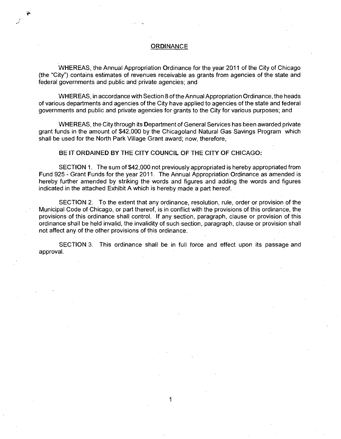WHEREAS, the Annual Appropriation Ordinance for the year 2011 of the City of Chicago (the "City") contains estimates of revenues receivable as grants from agencies of the state and federal governments and public and private agencies; and

WHEREAS, in accordance with Section 8 of the Annual Appropriation Ordinance, the heads of various departments and agencies of the City have applied to agencies of the state and federal governments and public and private agencies for grants to the City for various purposes; and

WHEREAS, the City through its Department of General Services has been awarded private grant funds in the amount of \$42,000 by the Chicagoland Natural Gas Savings Program which shall be used for the North Park Village Grant award; now, therefore,

### **BE IT ORDAINED BY THE CITY COUNCIL OF THE CITY OF CHICAGO:**

SECTION 1. The sum of \$42,000 not previously appropriated is hereby appropriated from Fund 925 - Grant Funds for the year 2011. The Annual Appropriation Ordinance as amended is hereby further amended by striking the words and figures and adding the words and figures indicated in the attached Exhibit A which is hereby made a part hereof

SECTION 2. To the extent that any ordinance, resolution, rule, order or provision of the Municipal Code of Chicago, or part thereof, is in conflict with the provisions of this ordinance, the provisions of this ordinance shall control. If any section, paragraph, clause or provision of this ordinance shall be held invalid, the invalidity of such section, paragraph, clause or provision shall not affect any of the other provisions of this ordinance.

SECTION 3. This ordinance shall be in full force and effect upon its passage and approval.

1